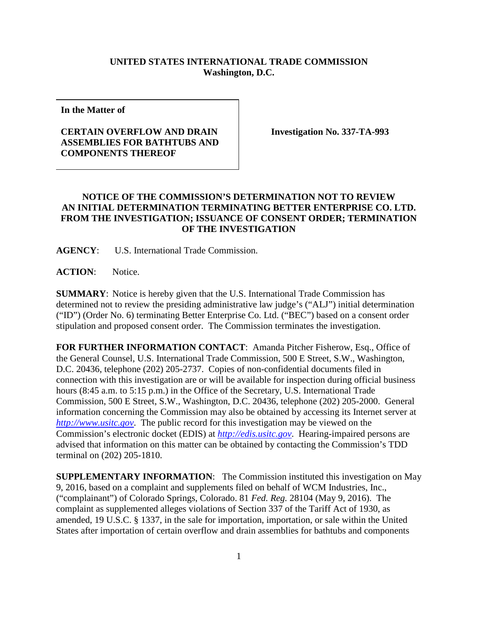## **UNITED STATES INTERNATIONAL TRADE COMMISSION Washington, D.C.**

**In the Matter of**

## **CERTAIN OVERFLOW AND DRAIN ASSEMBLIES FOR BATHTUBS AND COMPONENTS THEREOF**

**Investigation No. 337-TA-993**

## **NOTICE OF THE COMMISSION'S DETERMINATION NOT TO REVIEW AN INITIAL DETERMINATION TERMINATING BETTER ENTERPRISE CO. LTD. FROM THE INVESTIGATION; ISSUANCE OF CONSENT ORDER; TERMINATION OF THE INVESTIGATION**

**AGENCY**: U.S. International Trade Commission.

**ACTION**: Notice.

**SUMMARY**: Notice is hereby given that the U.S. International Trade Commission has determined not to review the presiding administrative law judge's ("ALJ") initial determination ("ID") (Order No. 6) terminating Better Enterprise Co. Ltd. ("BEC") based on a consent order stipulation and proposed consent order. The Commission terminates the investigation.

**FOR FURTHER INFORMATION CONTACT**: Amanda Pitcher Fisherow, Esq., Office of the General Counsel, U.S. International Trade Commission, 500 E Street, S.W., Washington, D.C. 20436, telephone (202) 205-2737. Copies of non-confidential documents filed in connection with this investigation are or will be available for inspection during official business hours (8:45 a.m. to 5:15 p.m.) in the Office of the Secretary, U.S. International Trade Commission, 500 E Street, S.W., Washington, D.C. 20436, telephone (202) 205-2000. General information concerning the Commission may also be obtained by accessing its Internet server at *[http://www.usitc.gov](http://www.usitc.gov/)*. The public record for this investigation may be viewed on the Commission's electronic docket (EDIS) at *[http://edis.usitc.gov](http://edis.usitc.gov/)*. Hearing-impaired persons are advised that information on this matter can be obtained by contacting the Commission's TDD terminal on (202) 205-1810.

**SUPPLEMENTARY INFORMATION**: The Commission instituted this investigation on May 9, 2016, based on a complaint and supplements filed on behalf of WCM Industries, Inc., ("complainant") of Colorado Springs, Colorado. 81 *Fed. Reg.* 28104 (May 9, 2016). The complaint as supplemented alleges violations of Section 337 of the Tariff Act of 1930, as amended, 19 U.S.C. § 1337, in the sale for importation, importation, or sale within the United States after importation of certain overflow and drain assemblies for bathtubs and components